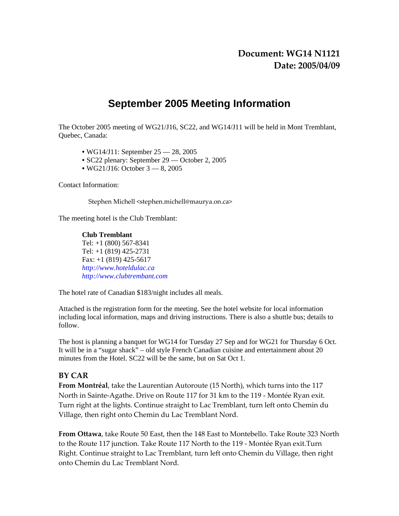# **September 2005 Meeting Information**

The October 2005 meeting of WG21/J16, SC22, and WG14/J11 will be held in Mont Tremblant, Quebec, Canada:

- WG14/J11: September 25 28, 2005
- SC22 plenary: September 29 October 2, 2005
- WG21/J16: October 3 8, 2005

Contact Information:

Stephen Michell <stephen.michell@maurya.on.ca>

The meeting hotel is the Club Tremblant:

**Club Tremblant**  Tel: +1 (800) 567-8341 Tel: +1 (819) 425-2731 Fax:  $+1$  (819) 425-5617 *http://www.hoteldulac.ca http://www.clubtrembant.com* 

The hotel rate of Canadian \$183/night includes all meals.

Attached is the registration form for the meeting. See the hotel website for local information including local information, maps and driving instructions. There is also a shuttle bus; details to follow.

The host is planning a banquet for WG14 for Tuesday 27 Sep and for WG21 for Thursday 6 Oct. It will be in a "sugar shack" – old style French Canadian cuisine and entertainment about 20 minutes from the Hotel. SC22 will be the same, but on Sat Oct 1.

# **BY CAR**

**From Montréal**, take the Laurentian Autoroute (15 North), which turns into the 117 North in Sainte‐Agathe. Drive on Route 117 for 31 km to the 119 ‐ Montée Ryan exit. Turn right at the lights. Continue straight to Lac Tremblant, turn left onto Chemin du Village, then right onto Chemin du Lac Tremblant Nord.

**From Ottawa**, take Route 50 East, then the 148 East to Montebello. Take Route 323 North to the Route 117 junction. Take Route 117 North to the 119 ‐ Montée Ryan exit.Turn Right. Continue straight to Lac Tremblant, turn left onto Chemin du Village, then right onto Chemin du Lac Tremblant Nord.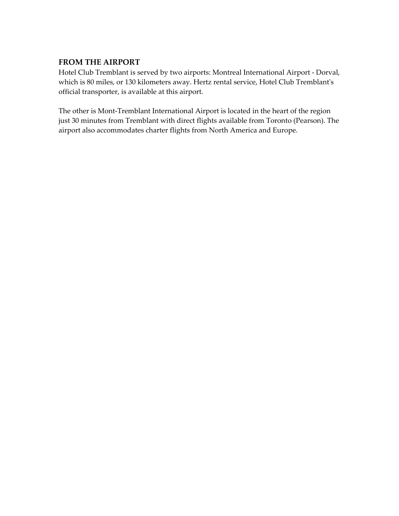# **FROM THE AIRPORT**

Hotel Club Tremblant is served by two airports: Montreal International Airport ‐ Dorval, which is 80 miles, or 130 kilometers away. Hertz rental service, Hotel Club Tremblantʹs official transporter, is available at this airport.

The other is Mont-Tremblant International Airport is located in the heart of the region just 30 minutes from Tremblant with direct flights available from Toronto (Pearson). The airport also accommodates charter flights from North America and Europe.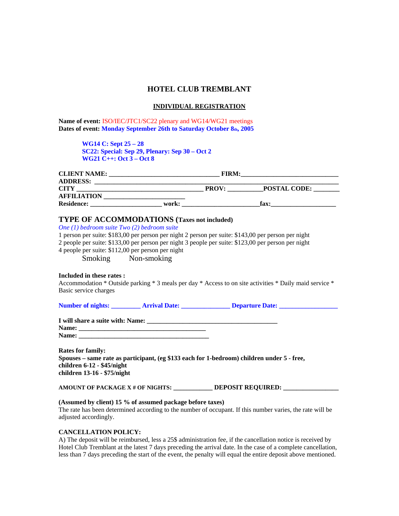# **HOTEL CLUB TREMBLANT**

#### **INDIVIDUAL REGISTRATION**

**Name of event:** ISO/IEC/JTC1/SC22 plenary and WG14/WG21 meetings Dates of event: Monday September 26th to Saturday October 8th, 2005

> **WG14 C: Sept 25 – 28 SC22: Special: Sep 29, Plenary: Sep 30 – Oct 2 WG21 C++: Oct 3 – Oct 8**

| <b>CLIENT NAME:</b> |       | <b>FIRM:</b> |                     |  |
|---------------------|-------|--------------|---------------------|--|
| <b>ADDRESS:</b>     |       |              |                     |  |
| <b>CITY</b>         |       | <b>PROV:</b> | <b>POSTAL CODE:</b> |  |
| <b>AFFILIATION</b>  |       |              |                     |  |
| <b>Residence:</b>   | work: |              | fax:                |  |

# **TYPE OF ACCOMMODATIONS (Taxes not included)**

*One (1) bedroom suite Two (2) bedroom suite* 

1 person per suite: \$183,00 per person per night 2 person per suite: \$143,00 per person per night 2 people per suite: \$133,00 per person per night 3 people per suite: \$123,00 per person per night

4 people per suite: \$112,00 per person per night

Smoking Non-smoking

#### **Included in these rates :**

Accommodation \* Outside parking \* 3 meals per day \* Access to on site activities \* Daily maid service \* Basic service charges

| <b>Number of nights:</b> | <b>Arrival Date:</b> | <b>Departure Date:</b> |
|--------------------------|----------------------|------------------------|
|                          |                      |                        |

| I will share a suite with: Name: |  |
|----------------------------------|--|
|                                  |  |

| Name:<br>*** |  |
|--------------|--|
| Name:        |  |

**Rates for family: Spouses – same rate as participant, (eg \$133 each for 1-bedroom) children under 5 - free, children 6-12 - \$45/night children 13-16 - \$75/night** 

**AMOUNT OF PACKAGE X # OF NIGHTS: \_\_\_\_\_\_\_\_\_\_\_\_ DEPOSIT REQUIRED: \_\_\_\_\_\_\_\_\_\_\_\_\_\_\_\_\_** 

## **(Assumed by client) 15 % of assumed package before taxes)**

The rate has been determined according to the number of occupant. If this number varies, the rate will be adjusted accordingly.

## **CANCELLATION POLICY:**

A) The deposit will be reimbursed, less a 25\$ administration fee, if the cancellation notice is received by Hotel Club Tremblant at the latest 7 days preceding the arrival date. In the case of a complete cancellation, less than 7 days preceding the start of the event, the penalty will equal the entire deposit above mentioned.